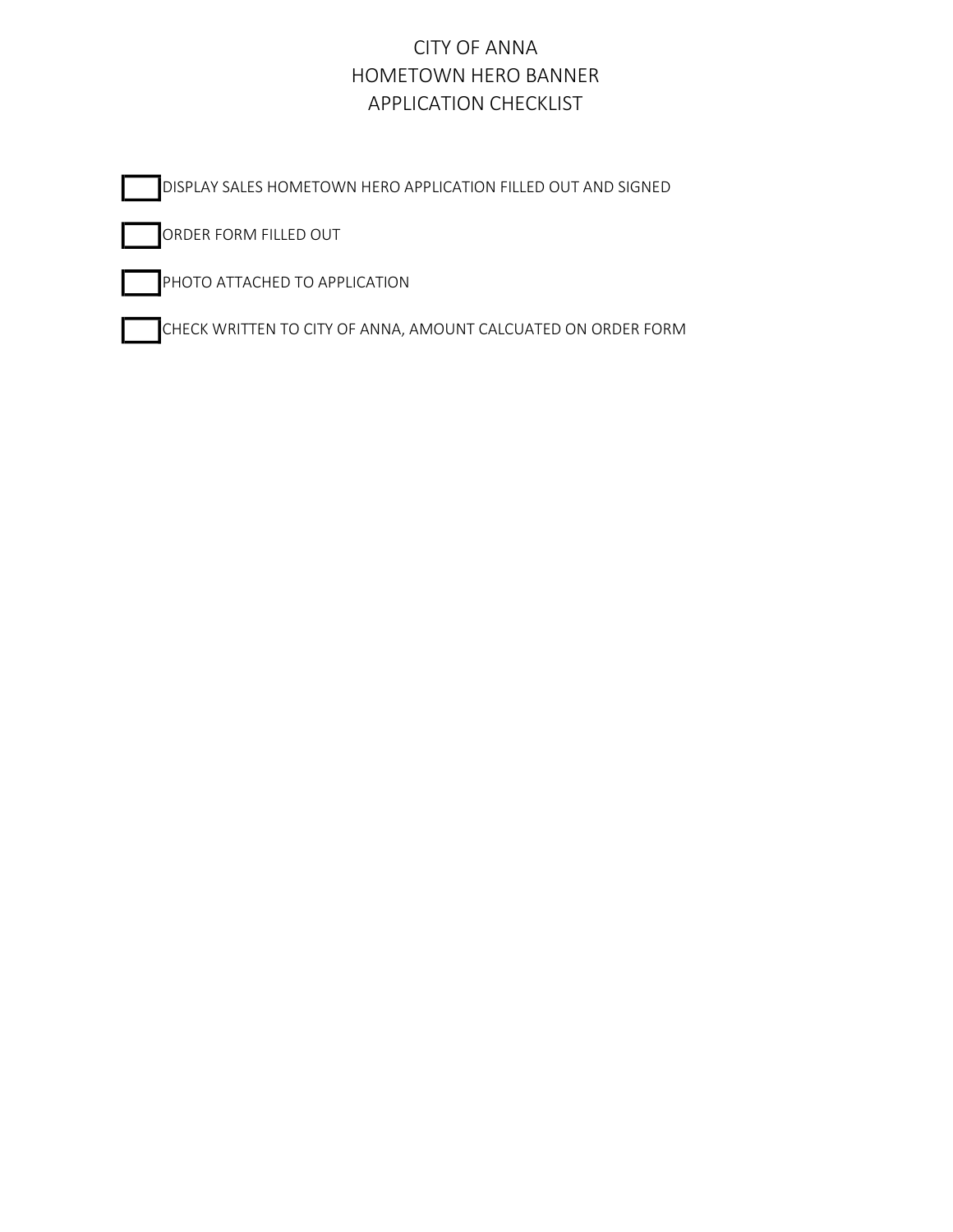### CITY OF ANNA HOMETOWN HERO BANNER APPLICATION CHECKLIST

DISPLAY SALES HOMETOWN HERO APPLICATION FILLED OUT AND SIGNED

ORDER FORM FILLED OUT

PHOTO ATTACHED TO APPLICATION

CHECK WRITTEN TO CITY OF ANNA, AMOUNT CALCUATED ON ORDER FORM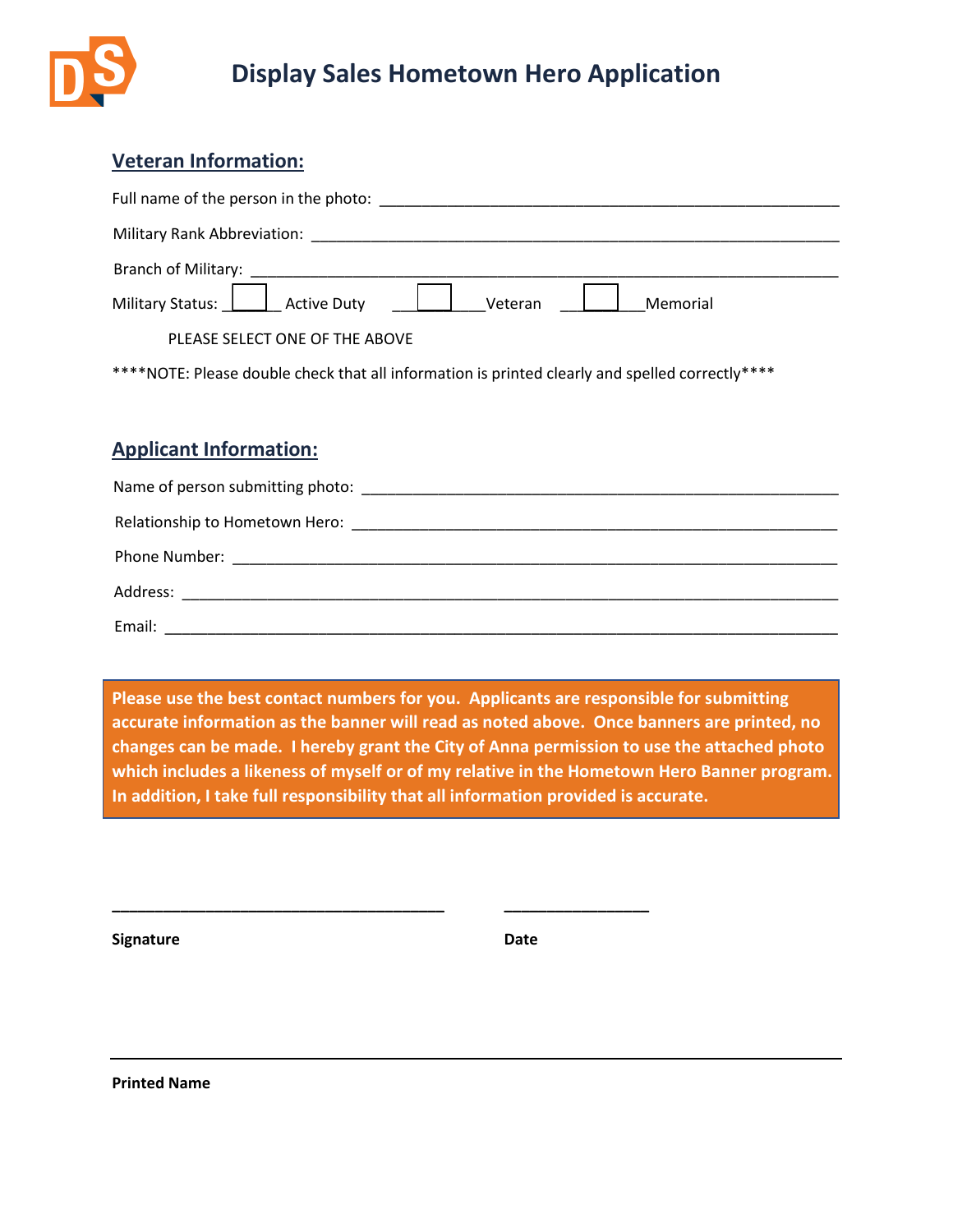

# **Display Sales Hometown Hero Application**

## **Veteran Information:**

| Full name of the person in the photo: |                     |  |  |  |  |
|---------------------------------------|---------------------|--|--|--|--|
| Military Rank Abbreviation:           |                     |  |  |  |  |
| Branch of Military:                   |                     |  |  |  |  |
|                                       | Veteran<br>Memorial |  |  |  |  |
| PLEASE SELECT ONE OF THE ABOVE        |                     |  |  |  |  |

\*\*\*\*NOTE: Please double check that all information is printed clearly and spelled correctly\*\*\*\*

#### **Applicant Information:**

| Email: |
|--------|

**Please use the best contact numbers for you. Applicants are responsible for submitting accurate information as the banner will read as noted above. Once banners are printed, no changes can be made. I hereby grant the City of Anna permission to use the attached photo which includes a likeness of myself or of my relative in the Hometown Hero Banner program. In addition, I take full responsibility that all information provided is accurate.**

**\_\_\_\_\_\_\_\_\_\_\_\_\_\_\_\_\_\_\_\_\_\_\_\_\_\_\_\_\_\_\_\_\_\_\_\_\_\_\_ \_\_\_\_\_\_\_\_\_\_\_\_\_\_\_\_\_**

**Signature Date**

**Printed Name**